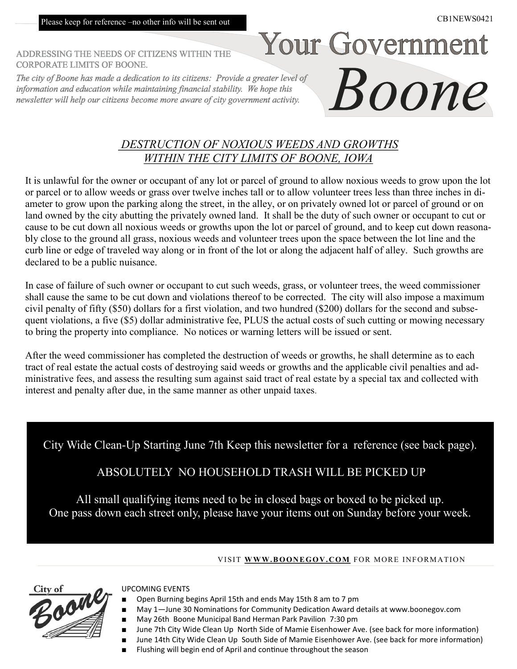Please keep for reference –no other info will be sent out

Your Government

Boone

ADDRESSING THE NEEDS OF CITIZENS WITHIN THE **CORPORATE LIMITS OF BOONE.** 

The city of Boone has made a dedication to its citizens: Provide a greater level of information and education while maintaining financial stability. We hope this newsletter will help our citizens become more aware of city government activity.

## *DESTRUCTION OF NOXIOUS WEEDS AND GROWTHS WITHIN THE CITY LIMITS OF BOONE, IOWA*

It is unlawful for the owner or occupant of any lot or parcel of ground to allow noxious weeds to grow upon the lot or parcel or to allow weeds or grass over twelve inches tall or to allow volunteer trees less than three inches in diameter to grow upon the parking along the street, in the alley, or on privately owned lot or parcel of ground or on land owned by the city abutting the privately owned land. It shall be the duty of such owner or occupant to cut or cause to be cut down all noxious weeds or growths upon the lot or parcel of ground, and to keep cut down reasonably close to the ground all grass, noxious weeds and volunteer trees upon the space between the lot line and the curb line or edge of traveled way along or in front of the lot or along the adjacent half of alley. Such growths are declared to be a public nuisance.

In case of failure of such owner or occupant to cut such weeds, grass, or volunteer trees, the weed commissioner shall cause the same to be cut down and violations thereof to be corrected. The city will also impose a maximum civil penalty of fifty (\$50) dollars for a first violation, and two hundred (\$200) dollars for the second and subsequent violations, a five (\$5) dollar administrative fee, PLUS the actual costs of such cutting or mowing necessary to bring the property into compliance. No notices or warning letters will be issued or sent.

After the weed commissioner has completed the destruction of weeds or growths, he shall determine as to each tract of real estate the actual costs of destroying said weeds or growths and the applicable civil penalties and administrative fees, and assess the resulting sum against said tract of real estate by a special tax and collected with interest and penalty after due, in the same manner as other unpaid taxes.

City Wide Clean-Up Starting June 7th Keep this newsletter for a reference (see back page).

ABSOLUTELY NO HOUSEHOLD TRASH WILL BE PICKED UP

All small qualifying items need to be in closed bags or boxed to be picked up. One pass down each street only, please have your items out on Sunday before your week.

#### VISIT WWW.BOONEGOV.COM FOR MORE INFORMATION



#### UPCOMING EVENTS

- Open Burning begins April 15th and ends May 15th 8 am to 7 pm
- May 1-June 30 Nominations for Community Dedication Award details at www.boonegov.com
	- May 26th Boone Municipal Band Herman Park Pavilion 7:30 pm
- June 7th City Wide Clean Up North Side of Mamie Eisenhower Ave. (see back for more information)
- June 14th City Wide Clean Up South Side of Mamie Eisenhower Ave. (see back for more information)
- Flushing will begin end of April and continue throughout the season